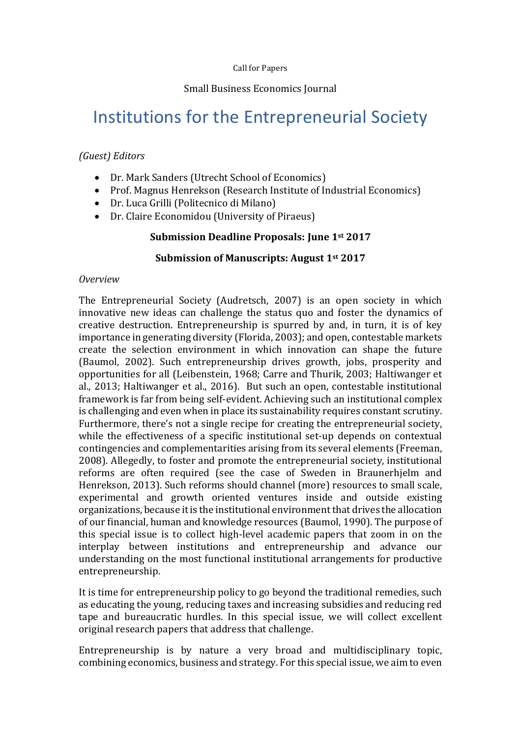# Small Business Economics Journal

# Institutions for the Entrepreneurial Society

## *(Guest) Editors*

- Dr. Mark Sanders (Utrecht School of Economics)
- Prof. Magnus Henrekson (Research Institute of Industrial Economics)
- Dr. Luca Grilli (Politecnico di Milano)
- Dr. Claire Economidou (University of Piraeus)

### **Submission Deadline Proposals: June 1st 2017**

### **Submission of Manuscripts: August 1st 2017**

#### *Overview*

The Entrepreneurial Society (Audretsch, 2007) is an open society in which innovative new ideas can challenge the status quo and foster the dynamics of creative destruction. Entrepreneurship is spurred by and, in turn, it is of key importance in generating diversity (Florida, 2003); and open, contestable markets create the selection environment in which innovation can shape the future (Baumol, 2002). Such entrepreneurship drives growth, jobs, prosperity and opportunities for all (Leibenstein, 1968; Carre and Thurik, 2003; Haltiwanger et al., 2013; Haltiwanger et al., 2016). But such an open, contestable institutional framework is far from being self-evident. Achieving such an institutional complex is challenging and even when in place its sustainability requires constant scrutiny. Furthermore, there's not a single recipe for creating the entrepreneurial society, while the effectiveness of a specific institutional set-up depends on contextual contingencies and complementarities arising from its several elements (Freeman, 2008). Allegedly, to foster and promote the entrepreneurial society, institutional reforms are often required (see the case of Sweden in Braunerhjelm and Henrekson, 2013). Such reforms should channel (more) resources to small scale, experimental and growth oriented ventures inside and outside existing organizations, because it is the institutional environment that drives the allocation of our financial, human and knowledge resources (Baumol, 1990). The purpose of this special issue is to collect high-level academic papers that zoom in on the interplay between institutions and entrepreneurship and advance our understanding on the most functional institutional arrangements for productive entrepreneurship.

It is time for entrepreneurship policy to go beyond the traditional remedies, such as educating the young, reducing taxes and increasing subsidies and reducing red tape and bureaucratic hurdles. In this special issue, we will collect excellent original research papers that address that challenge.

Entrepreneurship is by nature a very broad and multidisciplinary topic, combining economics, business and strategy. For this special issue, we aim to even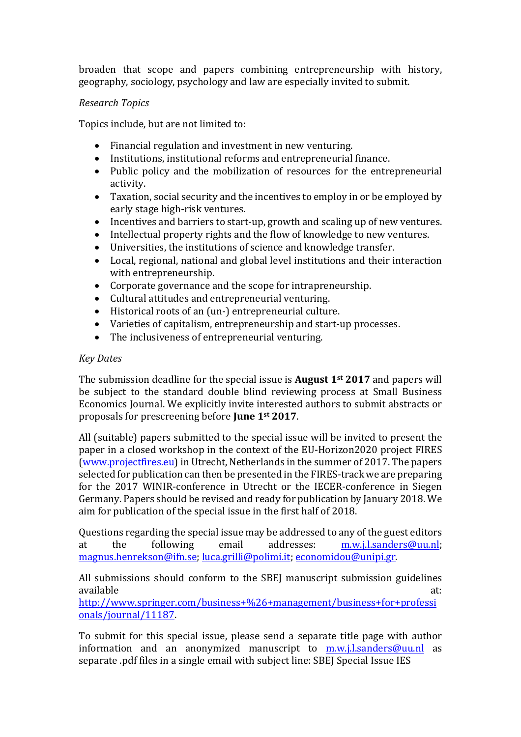broaden that scope and papers combining entrepreneurship with history, geography, sociology, psychology and law are especially invited to submit.

# *Research Topics*

Topics include, but are not limited to:

- Financial regulation and investment in new venturing.
- Institutions, institutional reforms and entrepreneurial finance.
- Public policy and the mobilization of resources for the entrepreneurial activity.
- Taxation, social security and the incentives to employ in or be employed by early stage high-risk ventures.
- Incentives and barriers to start-up, growth and scaling up of new ventures.
- Intellectual property rights and the flow of knowledge to new ventures.
- $\bullet$  Universities, the institutions of science and knowledge transfer.
- Local, regional, national and global level institutions and their interaction with entrepreneurship.
- Corporate governance and the scope for intrapreneurship.
- Cultural attitudes and entrepreneurial venturing.
- Historical roots of an (un-) entrepreneurial culture.
- Varieties of capitalism, entrepreneurship and start-up processes.
- $\bullet$  The inclusiveness of entrepreneurial venturing.

### *Key Dates*

The submission deadline for the special issue is **August** 1<sup>st</sup> 2017 and papers will be subject to the standard double blind reviewing process at Small Business Economics Journal. We explicitly invite interested authors to submit abstracts or proposals for prescreening before **June 1st 2017**.

All (suitable) papers submitted to the special issue will be invited to present the paper in a closed workshop in the context of the EU-Horizon2020 project FIRES (www.projectfires.eu) in Utrecht, Netherlands in the summer of 2017. The papers selected for publication can then be presented in the FIRES-track we are preparing for the  $2017$  WINIR-conference in Utrecht or the IECER-conference in Siegen Germany. Papers should be revised and ready for publication by January 2018. We aim for publication of the special issue in the first half of 2018.

Questions regarding the special issue may be addressed to any of the guest editors at the following email addresses: m.w.j.l.sanders@uu.nl; magnus.henrekson@ifn.se; luca.grilli@polimi.it; economidou@unipi.gr.

All submissions should conform to the SBEJ manuscript submission guidelines available at: a contract the contract of the contract of the contract of the contract of the contract of the contract of the contract of the contract of the contract of the contract of the contract of the contract of the c

http://www.springer.com/business+%26+management/business+for+professi onals/journal/11187.

To submit for this special issue, please send a separate title page with author information and an anonymized manuscript to  $m.w.i.l.sanders@uu.nl$  as separate .pdf files in a single email with subject line: SBEJ Special Issue IES